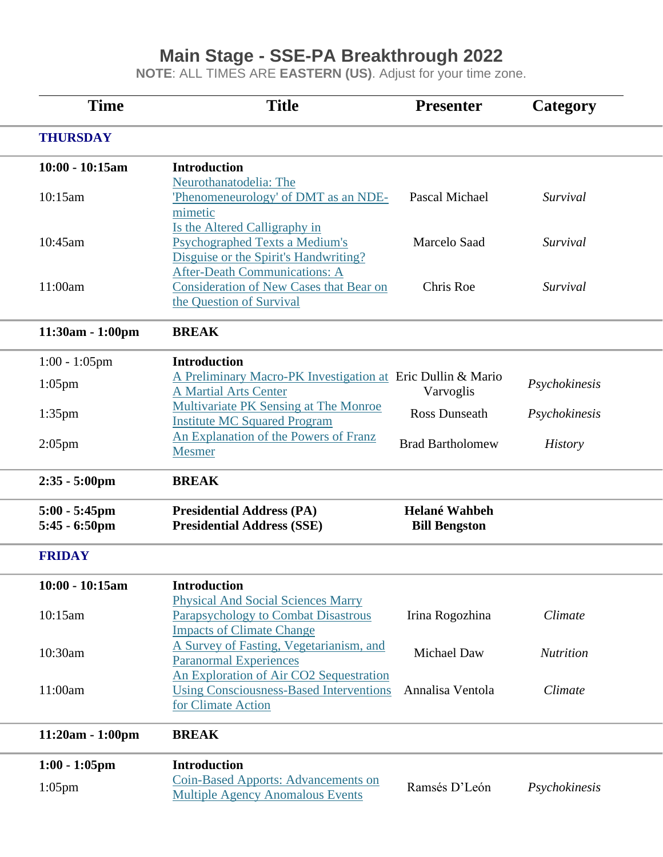## **Main Stage - SSE-PA Breakthrough 2022**

**NOTE**: ALL TIMES ARE **EASTERN (US)**. Adjust for your time zone.

| <b>Time</b>                                 | <b>Title</b>                                                                                                       | <b>Presenter</b>                             | Category         |  |
|---------------------------------------------|--------------------------------------------------------------------------------------------------------------------|----------------------------------------------|------------------|--|
| <b>THURSDAY</b>                             |                                                                                                                    |                                              |                  |  |
| $10:00 - 10:15am$                           | <b>Introduction</b><br>Neurothanatodelia: The                                                                      |                                              |                  |  |
| 10:15am                                     | Phenomeneurology' of DMT as an NDE-<br>mimetic                                                                     | Pascal Michael                               | Survival         |  |
| 10:45am                                     | Is the Altered Calligraphy in<br><b>Psychographed Texts a Medium's</b><br>Disguise or the Spirit's Handwriting?    | <b>Marcelo Saad</b>                          | Survival         |  |
| 11:00am                                     | <b>After-Death Communications: A</b><br><b>Consideration of New Cases that Bear on</b><br>the Question of Survival | Chris Roe                                    | Survival         |  |
| $11:30am - 1:00pm$                          | <b>BREAK</b>                                                                                                       |                                              |                  |  |
| $1:00 - 1:05$ pm                            | <b>Introduction</b>                                                                                                |                                              |                  |  |
| $1:05$ pm                                   | A Preliminary Macro-PK Investigation at Eric Dullin & Mario<br><b>A Martial Arts Center</b>                        | Varvoglis                                    | Psychokinesis    |  |
| $1:35$ pm                                   | Multivariate PK Sensing at The Monroe<br><b>Institute MC Squared Program</b>                                       | <b>Ross Dunseath</b>                         | Psychokinesis    |  |
| $2:05$ pm                                   | An Explanation of the Powers of Franz<br><b>Mesmer</b>                                                             | <b>Brad Bartholomew</b>                      | <b>History</b>   |  |
| $2:35 - 5:00 \text{pm}$                     | <b>BREAK</b>                                                                                                       |                                              |                  |  |
| $5:00 - 5:45$ pm<br>$5:45 - 6:50 \text{pm}$ | <b>Presidential Address (PA)</b><br><b>Presidential Address (SSE)</b>                                              | <b>Helané Wahbeh</b><br><b>Bill Bengston</b> |                  |  |
| <b>FRIDAY</b>                               |                                                                                                                    |                                              |                  |  |
| $10:00 - 10:15am$                           | <b>Introduction</b><br><b>Physical And Social Sciences Marry</b>                                                   |                                              |                  |  |
| 10:15am                                     | Parapsychology to Combat Disastrous<br><b>Impacts of Climate Change</b>                                            | Irina Rogozhina                              | Climate          |  |
| 10:30am                                     | A Survey of Fasting, Vegetarianism, and<br><b>Paranormal Experiences</b>                                           | <b>Michael Daw</b>                           | <b>Nutrition</b> |  |
| 11:00am                                     | An Exploration of Air CO2 Sequestration<br><b>Using Consciousness-Based Interventions</b><br>for Climate Action    | Annalisa Ventola                             | Climate          |  |
| 11:20am - 1:00pm                            | <b>BREAK</b>                                                                                                       |                                              |                  |  |
| $1:00 - 1:05$ pm                            | <b>Introduction</b>                                                                                                |                                              |                  |  |
| $1:05$ pm                                   | <b>Coin-Based Apports: Advancements on</b><br><b>Multiple Agency Anomalous Events</b>                              | Ramsés D'León                                | Psychokinesis    |  |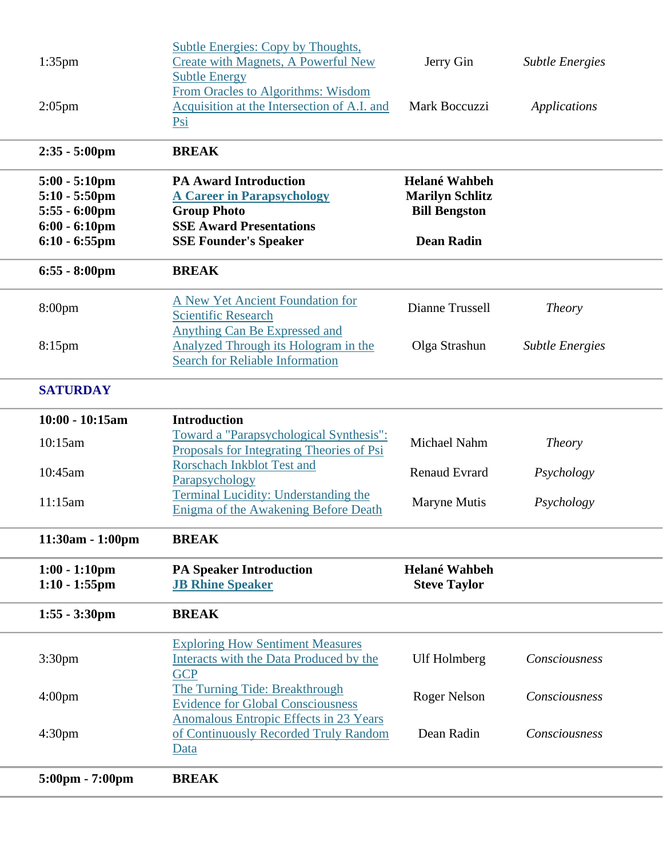| $1:35$ pm                                                                                               | <b>Subtle Energies: Copy by Thoughts,</b><br><b>Create with Magnets, A Powerful New</b><br><b>Subtle Energy</b>                                           | Jerry Gin                                                                                   | <b>Subtle Energies</b> |  |
|---------------------------------------------------------------------------------------------------------|-----------------------------------------------------------------------------------------------------------------------------------------------------------|---------------------------------------------------------------------------------------------|------------------------|--|
| $2:05$ pm                                                                                               | From Oracles to Algorithms: Wisdom<br>Acquisition at the Intersection of A.I. and<br>Psi                                                                  | Mark Boccuzzi                                                                               | Applications           |  |
| $2:35 - 5:00 \text{pm}$                                                                                 | <b>BREAK</b>                                                                                                                                              |                                                                                             |                        |  |
| $5:00 - 5:10$ pm<br>$5:10 - 5:50$ pm<br>$5:55 - 6:00 \text{pm}$<br>$6:00 - 6:10$ pm<br>$6:10 - 6:55$ pm | <b>PA Award Introduction</b><br><b>A Career in Parapsychology</b><br><b>Group Photo</b><br><b>SSE Award Presentations</b><br><b>SSE Founder's Speaker</b> | <b>Helané Wahbeh</b><br><b>Marilyn Schlitz</b><br><b>Bill Bengston</b><br><b>Dean Radin</b> |                        |  |
| $6:55 - 8:00 \text{pm}$                                                                                 | <b>BREAK</b>                                                                                                                                              |                                                                                             |                        |  |
| 8:00pm                                                                                                  | <b>A New Yet Ancient Foundation for</b><br><b>Scientific Research</b>                                                                                     | Dianne Trussell                                                                             | <b>Theory</b>          |  |
| $8:15$ pm                                                                                               | <b>Anything Can Be Expressed and</b><br>Analyzed Through its Hologram in the<br><b>Search for Reliable Information</b>                                    | Olga Strashun                                                                               | <b>Subtle Energies</b> |  |
| <b>SATURDAY</b>                                                                                         |                                                                                                                                                           |                                                                                             |                        |  |
| $10:00 - 10:15am$                                                                                       | <b>Introduction</b>                                                                                                                                       |                                                                                             |                        |  |
| 10:15am                                                                                                 | Toward a "Parapsychological Synthesis":<br>Proposals for Integrating Theories of Psi                                                                      | Michael Nahm                                                                                | <i>Theory</i>          |  |
| 10:45am                                                                                                 | <b>Rorschach Inkblot Test and</b><br>Parapsychology                                                                                                       | <b>Renaud Evrard</b>                                                                        | Psychology             |  |
| 11:15am                                                                                                 | <b>Terminal Lucidity: Understanding the</b><br>Enigma of the Awakening Before Death                                                                       | <b>Maryne Mutis</b>                                                                         | Psychology             |  |
| 11:30am - 1:00pm                                                                                        | <b>BREAK</b>                                                                                                                                              |                                                                                             |                        |  |
| $1:00 - 1:10$ pm<br>$1:10 - 1:55$ pm                                                                    | <b>PA Speaker Introduction</b><br><b>JB Rhine Speaker</b>                                                                                                 | Helané Wahbeh<br><b>Steve Taylor</b>                                                        |                        |  |
| $1:55 - 3:30$ pm                                                                                        | <b>BREAK</b>                                                                                                                                              |                                                                                             |                        |  |
| 3:30 <sub>pm</sub>                                                                                      | <b>Exploring How Sentiment Measures</b><br>Interacts with the Data Produced by the<br><b>GCP</b>                                                          | <b>Ulf Holmberg</b>                                                                         | Consciousness          |  |
| 4:00 <sub>pm</sub>                                                                                      | The Turning Tide: Breakthrough<br><b>Evidence for Global Consciousness</b>                                                                                | <b>Roger Nelson</b>                                                                         | Consciousness          |  |
| 4:30 <sub>pm</sub>                                                                                      | <b>Anomalous Entropic Effects in 23 Years</b><br>of Continuously Recorded Truly Random<br>Data                                                            | Dean Radin                                                                                  | Consciousness          |  |
| 5:00pm - 7:00pm                                                                                         | <b>BREAK</b>                                                                                                                                              |                                                                                             |                        |  |
|                                                                                                         |                                                                                                                                                           |                                                                                             |                        |  |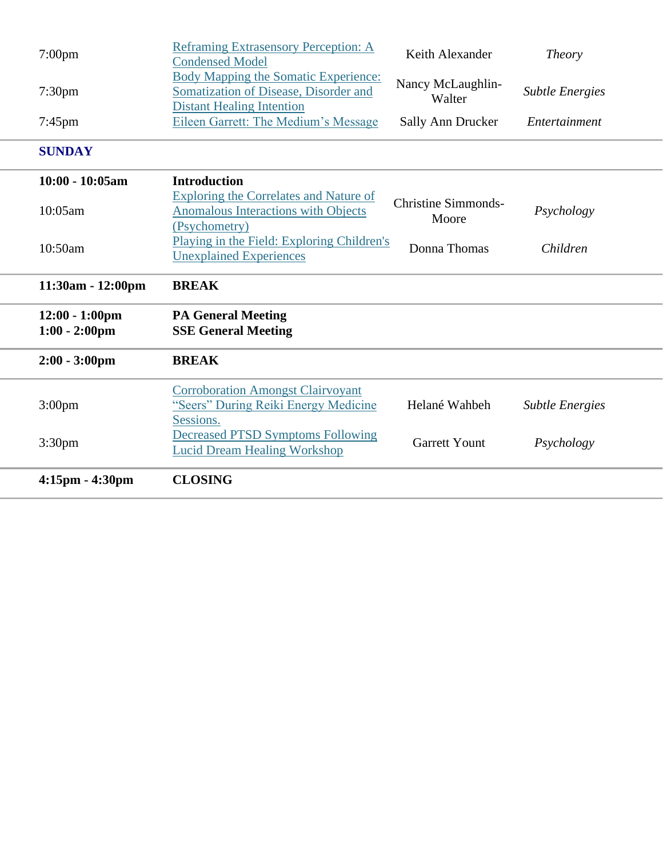| 3:30pm                                | <b>Decreased PTSD Symptoms Following</b><br><b>Lucid Dream Healing Workshop</b>                                          | <b>Garrett Yount</b>                | Psychology             |  |
|---------------------------------------|--------------------------------------------------------------------------------------------------------------------------|-------------------------------------|------------------------|--|
| 3:00 <sub>pm</sub>                    | <b>Corroboration Amongst Clairvoyant</b><br>"Seers" During Reiki Energy Medicine<br>Sessions.                            | Helané Wahbeh                       | <b>Subtle Energies</b> |  |
| $2:00 - 3:00$ pm                      | <b>BREAK</b>                                                                                                             |                                     |                        |  |
| $12:00 - 1:00$ pm<br>$1:00 - 2:00$ pm | <b>PA General Meeting</b><br><b>SSE General Meeting</b>                                                                  |                                     |                        |  |
| 11:30am - 12:00pm                     | <b>BREAK</b>                                                                                                             |                                     |                        |  |
| 10:50am                               | Playing in the Field: Exploring Children's<br><b>Unexplained Experiences</b>                                             | Donna Thomas                        | Children               |  |
| 10:05am                               | <b>Exploring the Correlates and Nature of</b><br><b>Anomalous Interactions with Objects</b><br>(Psychometry)             | <b>Christine Simmonds-</b><br>Moore | Psychology             |  |
| 10:00 - 10:05am                       | <b>Introduction</b>                                                                                                      |                                     |                        |  |
| <b>SUNDAY</b>                         |                                                                                                                          |                                     |                        |  |
| $7:45$ pm                             | Eileen Garrett: The Medium's Message                                                                                     | Sally Ann Drucker                   | Entertainment          |  |
| 7:30 <sub>pm</sub>                    | <b>Body Mapping the Somatic Experience:</b><br>Somatization of Disease, Disorder and<br><b>Distant Healing Intention</b> | Nancy McLaughlin-<br>Walter         | <b>Subtle Energies</b> |  |
| $7:00$ pm                             | <b>Reframing Extrasensory Perception: A</b><br><b>Condensed Model</b>                                                    | Keith Alexander                     | <b>Theory</b>          |  |